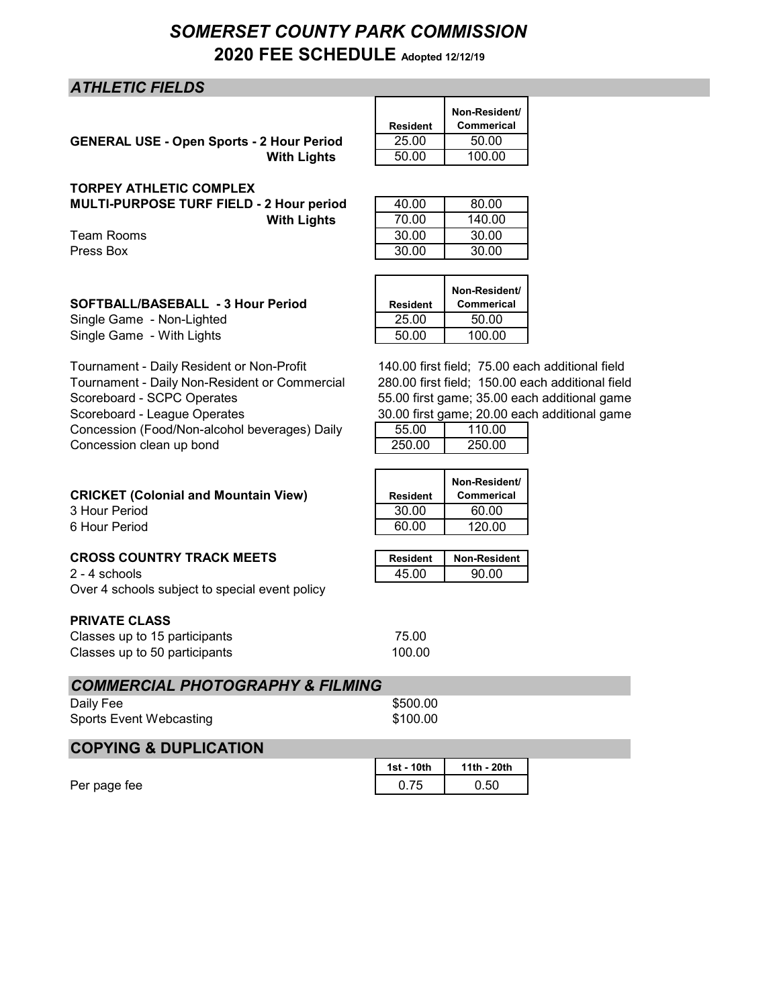# *SOMERSET COUNTY PARK COMMISSION* **2020 FEE SCHEDULE Adopted 12/12/19**

## *ATHLETIC FIELDS*

**GENERAL USE - Open Sports - 2 Hour Period With Lights** 

| <b>Resident</b> | Non-Resident/<br><b>Commerical</b> |
|-----------------|------------------------------------|
| 25.00           | 50.00                              |
| 50.00           | 100.00                             |

**TORPEY ATHLETIC COMPLEX MULTI-PURPOSE TURF FIELD - 2 Hour period With Lights** 

| TURELI ATIILLIIU UUMELLA                 |       |        |
|------------------------------------------|-------|--------|
| MULTI-PURPOSE TURF FIELD - 2 Hour period | 40.00 | 80.00  |
| <b>With Lights</b>                       | 70.00 | 140.00 |
| Team Rooms                               | 30.00 | 30.00  |
| Press Box                                | 30.00 | 30.00  |
|                                          |       |        |

| <b>SOFTBALL/BASEBALL - 3 Hour Period</b> | Resident |
|------------------------------------------|----------|
| Single Game - Non-Lighted                | 25.00    |

Tournament - Daily Resident or Non-Profit Tournament - Daily Non-Resident or Commercial Scoreboard - SCPC Operates Scoreboard - League Operates Concession (Food/Non-alcohol beverages) Daily Concession clean up bond

| 140.00 first field; 75.00 each additional field  |
|--------------------------------------------------|
| 280.00 first field; 150.00 each additional field |
| 55.00 first game; 35.00 each additional game     |
| 30.00 first game: 20.00 each additional game     |

**Non-Resident/ Commerical**

| <b>Resident</b> | Non-Resident/<br><b>Commerical</b> |
|-----------------|------------------------------------|
| 30.00           | 60.00                              |
| 60.00           | 120.00                             |

| <b>CROSS COUNTRY TRACK MEETS</b> | Resident   Non-Resident |
|----------------------------------|-------------------------|
|                                  |                         |

 $2 - 4$  schools Over 4 schools subject to special event policy

**CRICKET (Colonial and Mountain View)** 

## **PRIVATE CLASS**

3 Hour Period 6 Hour Period

| Classes up to 15 participants | 75.00  |
|-------------------------------|--------|
| Classes up to 50 participants | 100.00 |

|  | <b>COMMERCIAL PHOTOGRAPHY &amp; FILMING</b> |  |
|--|---------------------------------------------|--|
|  |                                             |  |

| Daily Fee               | \$500.00 |
|-------------------------|----------|
| Sports Event Webcasting | \$100.00 |

## **COPYING & DUPLICATION**

|              | 1st - 10th | 11th - 20th |  |
|--------------|------------|-------------|--|
| Per page fee | ∪.≀∪       | 0.50        |  |

30.00 first game; 20.00 each additional game

| 00.00 mot game, 20.00 caon ag |        |  |
|-------------------------------|--------|--|
| 55.00                         | 110.00 |  |
| 250.00                        | 250.00 |  |
|                               |        |  |

| <b>Resident</b> | <b>Non-Resident</b> |
|-----------------|---------------------|
| 45 NO           | 90.00               |

Single Game - Non-Lighted 25.00 50.00 Single Game - With Lights **100.00** 100.00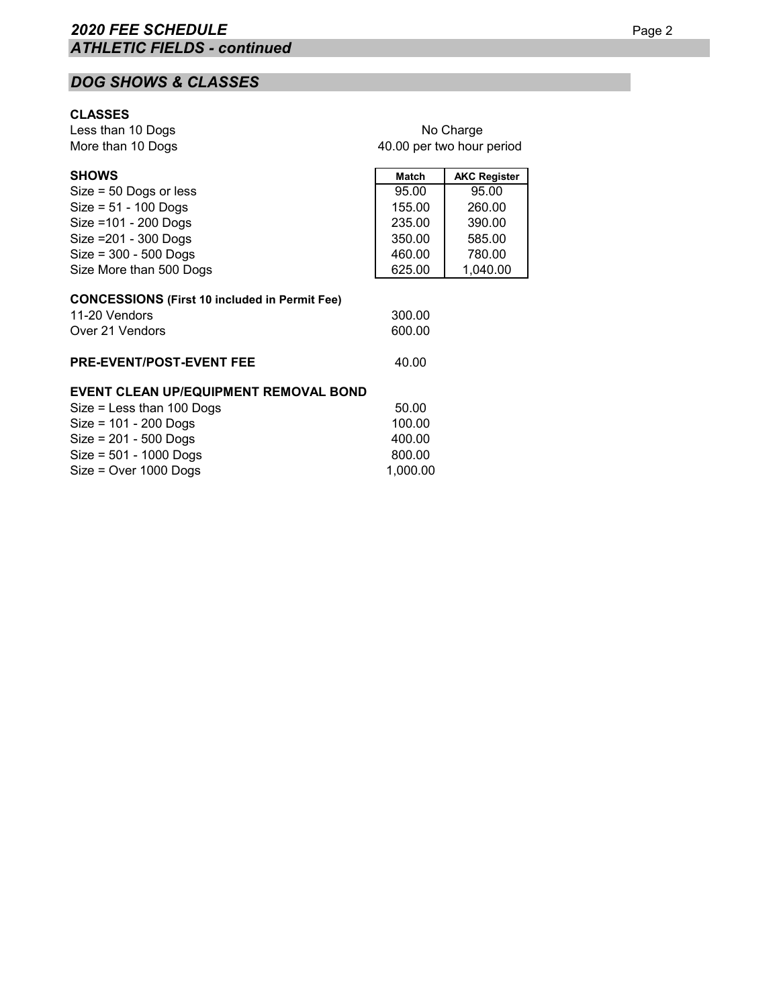# *DOG SHOWS & CLASSES*

## **CLASSES**

Less than 10 Dogs More than 10 Dogs

| No Charge                 |
|---------------------------|
| 40.00 per two hour period |

| <b>SHOWS</b>                                         | <b>Match</b> | <b>AKC Register</b> |
|------------------------------------------------------|--------------|---------------------|
| $Size = 50$ Dogs or less                             | 95.00        | 95.00               |
| $Size = 51 - 100$ Dogs                               | 155.00       | 260.00              |
| Size = 101 - 200 Dogs                                | 235.00       | 390.00              |
| Size = 201 - 300 Dogs                                | 350.00       | 585.00              |
| $Size = 300 - 500$ Dogs                              | 460.00       | 780.00              |
| Size More than 500 Dogs                              | 625.00       | 1,040.00            |
|                                                      |              |                     |
| <b>CONCESSIONS (First 10 included in Permit Fee)</b> |              |                     |
| 11-20 Vendors                                        | 300.00       |                     |
| Over 21 Vendors                                      | 600.00       |                     |
| <b>PRE-EVENT/POST-EVENT FEE</b>                      | 40.00        |                     |
|                                                      |              |                     |
| <b>EVENT CLEAN UP/EQUIPMENT REMOVAL BOND</b>         |              |                     |
| $Size = Less than 100$ Dogs                          | 50.00        |                     |
| $Size = 101 - 200$ Dogs                              | 100.00       |                     |
| $Size = 201 - 500$ Dogs                              | 400.00       |                     |
| $Size = 501 - 1000$ Dogs                             | 800.00       |                     |
| $Size = Over 1000$ Dogs                              | 1,000.00     |                     |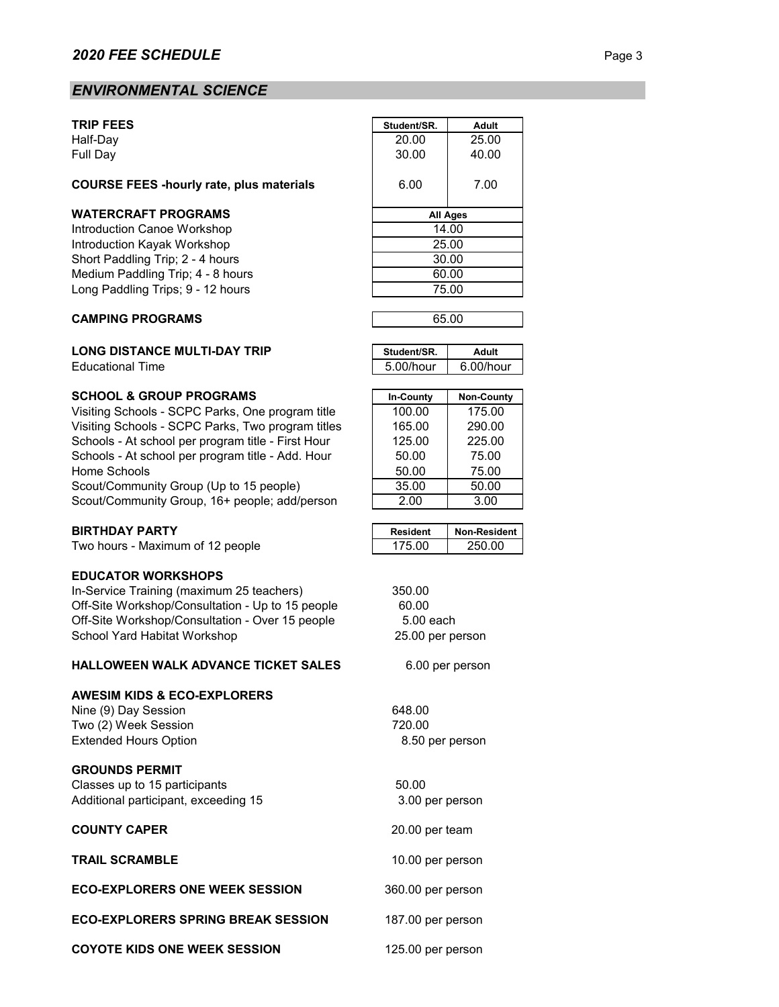## *ENVIRONMENTAL SCIENCE*

#### **COURSE FEES -hourly rate, plus materials** 6.00 7.00

#### **WATERCRAFT PROGRAMS**

#### **CAMPING PROGRAMS**

#### **LONG DISTANCE MULTI-DAY TRIP**

**Educational Time** 

#### **SCHOOL & GROUP PROGRAMS**

Visiting Schools - SCPC Parks, One program title Visiting Schools - SCPC Parks, Two program titles Schools - At school per program title - First Hour Schools - At school per program title - Add. Hour Home Schools Scout/Community Group (Up to 15 people) Scout/Community Group, 16+ people; add/person

#### **BIRTHDAY PARTY**

Two hours - Maximum of 12 people

#### **EDUCATOR WORKSHOPS**

In-Service Training (maximum 25 teachers) Off-Site Workshop/Consultation - Up to 15 people Off-Site Workshop/Consultation - Over 15 people School Yard Habitat Workshop

#### **HALLOWEEN WALK ADVANCE TICKET SALES**

#### **AWESIM KIDS & ECO-EXPLORERS**

Nine (9) Day Session 648.00 Two (2) Week Session 720.00 Extended Hours Option

#### **GROUNDS PERMIT**

Classes up to 15 participants 60.00 Additional participant, exceeding 15

#### **COUNTY CAPER**

**TRAIL SCRAMBLE**

#### **ECO-EXPLORERS ONE WEEK SESSION**

**ECO-EXPLORERS SPRING BREAK SESSION**

| <b>TRIP FEES</b>                                | Student/SR.     | <b>Adult</b> |  |
|-------------------------------------------------|-----------------|--------------|--|
| Half-Day                                        | 20.00           | 25.00        |  |
| Full Day                                        | 30.00           | 40.00        |  |
| <b>COURSE FEES -hourly rate, plus materials</b> | 6.00            | 7.00         |  |
| WATERCRAFT PROGRAMS                             | <b>All Ages</b> |              |  |
| Introduction Canoe Workshop                     | 14.00           |              |  |
| Introduction Kayak Workshop                     | 25.00           |              |  |
| Short Paddling Trip; 2 - 4 hours                | 30.00           |              |  |
| Medium Paddling Trip; 4 - 8 hours               | 60.00           |              |  |
| Long Paddling Trips; 9 - 12 hours               | 75.00           |              |  |
|                                                 |                 |              |  |



| Student/SR. | Adult     |
|-------------|-----------|
| 5.00/hour   | 6.00/hour |

| In-County | <b>Non-County</b> |
|-----------|-------------------|
| 100.00    | 175.00            |
| 165.00    | 290.00            |
| 125.00    | 225.00            |
| 50.00     | 75.00             |
| 50.00     | 75.00             |
| 35.00     | 50.00             |
| 2.00      | 3.00              |

| Resident | Non-Resident I |
|----------|----------------|
| 75.00    | 250 NO         |

6.00 per person

8.50 per person

 3.00 per person 20.00 per team

10.00 per person

187.00 per person

125.00 per person

360.00 per person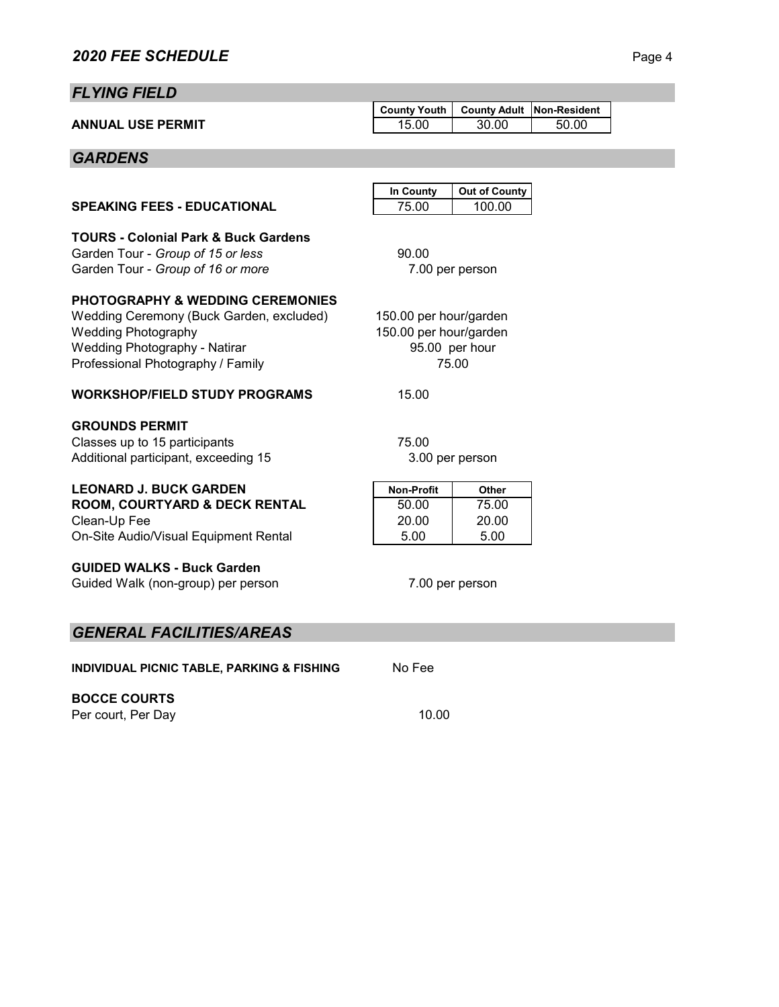# *FLYING FIELD*

|                          | County Youth   County Adult   Non-Resident |       |       |  |
|--------------------------|--------------------------------------------|-------|-------|--|
| <b>ANNUAL USE PERMIT</b> | 15.00                                      | 30.00 | 50.00 |  |

# *GARDENS*

|                                                                                                                                                                                                    | In County                                                                   | <b>Out of County</b>            |  |
|----------------------------------------------------------------------------------------------------------------------------------------------------------------------------------------------------|-----------------------------------------------------------------------------|---------------------------------|--|
| <b>SPEAKING FEES - EDUCATIONAL</b>                                                                                                                                                                 | 75.00                                                                       | 100.00                          |  |
| <b>TOURS - Colonial Park &amp; Buck Gardens</b><br>Garden Tour - Group of 15 or less<br>Garden Tour - Group of 16 or more                                                                          | 90.00<br>7.00 per person                                                    |                                 |  |
| <b>PHOTOGRAPHY &amp; WEDDING CEREMONIES</b><br>Wedding Ceremony (Buck Garden, excluded)<br><b>Wedding Photography</b><br><b>Wedding Photography - Natirar</b><br>Professional Photography / Family | 150.00 per hour/garden<br>150.00 per hour/garden<br>95.00 per hour<br>75.00 |                                 |  |
| <b>WORKSHOP/FIELD STUDY PROGRAMS</b>                                                                                                                                                               | 15.00                                                                       |                                 |  |
| <b>GROUNDS PERMIT</b><br>Classes up to 15 participants<br>Additional participant, exceeding 15                                                                                                     | 75.00<br>3.00 per person                                                    |                                 |  |
| <b>LEONARD J. BUCK GARDEN</b><br><b>ROOM, COURTYARD &amp; DECK RENTAL</b><br>Clean-Up Fee<br>On-Site Audio/Visual Equipment Rental                                                                 | <b>Non-Profit</b><br>50.00<br>20.00<br>5.00                                 | Other<br>75.00<br>20.00<br>5.00 |  |
| <b>GUIDED WALKS - Buck Garden</b><br>Guided Walk (non-group) per person                                                                                                                            | 7.00 per person                                                             |                                 |  |
| <b>GENERAL FACILITIES/AREAS</b>                                                                                                                                                                    |                                                                             |                                 |  |

**INDIVIDUAL PICNIC TABLE, PARKING & FISHING** No Fee

# **BOCCE COURTS**

Per court, Per Day 10.00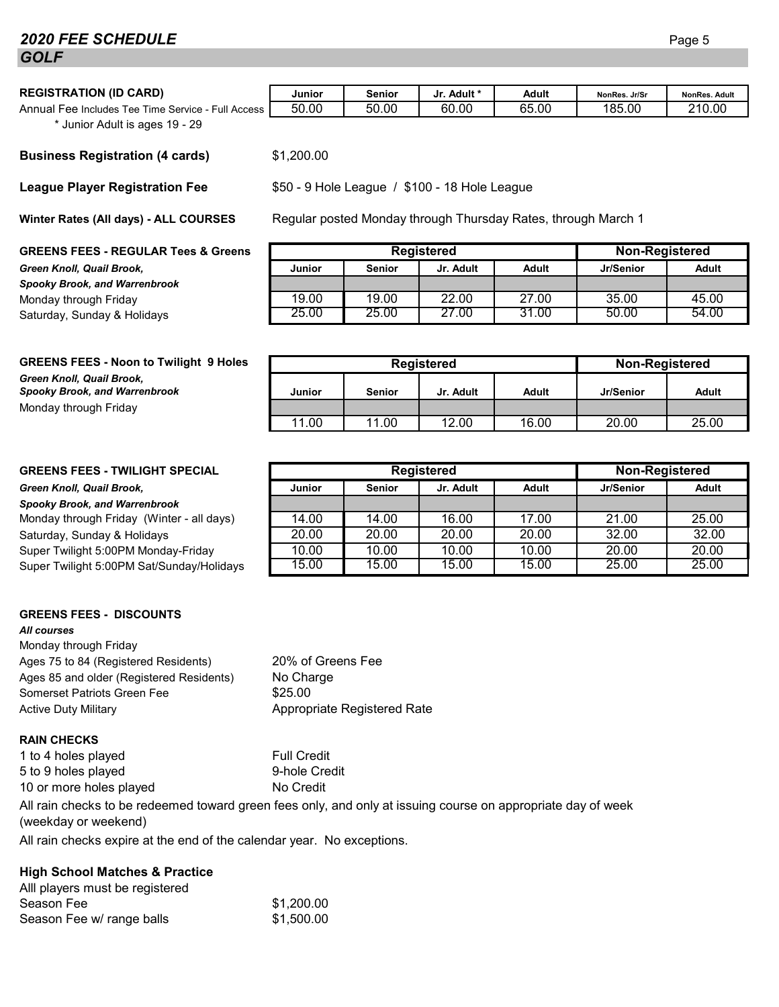## **2020 FEE SCHEDULE** Page 5 *GOLF*

| <b>REGISTRATION (ID CARD)</b>                                | Junior | Senior | Jr. Adult * | Adult | NonRes. Jr/Sr | <b>NonRes. Adult</b> |
|--------------------------------------------------------------|--------|--------|-------------|-------|---------------|----------------------|
| Annual Fee Includes Tee Time Service -<br><b>Full Access</b> | 50.00  | 50.00  | 60.00       | 65.00 | 185.00        | 210.00               |

\* Junior Adult is ages 19 - 29

#### **Business Registration (4 cards)** \$1,200.00

#### **League Player Registration Fee**

**Winter Rates (All days) - ALL COURSES**

#### **GREENS FEES - REGULAR Tees & Greens**

 $G$ reen Knoll, Quail Brook, *Spooky Brook, and Warrenbrook* Monday through Friday Saturday, Sunday & Holidays.

| <b>Registered</b> |               |           | Non-Registered |           |       |
|-------------------|---------------|-----------|----------------|-----------|-------|
| Junior            | <b>Senior</b> | Jr. Adult | Adult          | Jr/Senior | Adult |
|                   |               |           |                |           |       |
| 19.00             | 19.00         | 22.00     | 27.00          | 35.00     | 45.00 |
| 25.00             | 25.00         | 27.00     | 31.00          | 50.00     | 54.00 |

\$50 - 9 Hole League / \$100 - 18 Hole League

Regular posted Monday through Thursday Rates, through March 1

| <b>GREENS FEES - Noon to Twilight 9 Holes</b>                     | Registered |               |           | Non-Registered |           |       |
|-------------------------------------------------------------------|------------|---------------|-----------|----------------|-----------|-------|
| Green Knoll, Quail Brook,<br><b>Spooky Brook, and Warrenbrook</b> | Junior     | <b>Senior</b> | Jr. Adult | <b>Adult</b>   | Jr/Senior | Adult |
| Monday through Friday                                             |            |               |           |                |           |       |
|                                                                   | 11.00      | 11.00         | 12.00     | 16.00          | 20.00     | 25.00 |

### **GREENS FEES - TWILIGHT SPECIAL**

#### $G$ reen Knoll, Quail Brook,

*Spooky Brook, and Warrenbrook* Monday through Friday (Winter - all days) Saturday, Sunday & Holidays. Super Twilight 5:00PM Monday-Friday

Super Twilight 5:00 PM Sat/Sunday/Holidays

## **GREENS FEES - DISCOUNTS**

### *All courses*

Monday through Friday Ages 75 to 84 (Registered Residents) Ages 85 and older (Registered Residents) Somerset Patriots Green Fee  $$25.00$ Active Duty Military **Appropriate Registered Rate** 

## **RAIN CHECKS**

1 to 4 holes played Full Credit 5 to 9 holes played 9-hole Credit 10 or more holes played No Credit

All rain checks to be redeemed toward green fees only, and only at issuing course on appropriate day of week (weekday or weekend)

20% of Greens Fee

No Charge

All rain checks expire at the end of the calendar year. No exceptions.

## **High School Matches & Practice**

| Alll players must be registered |            |
|---------------------------------|------------|
| Season Fee                      | \$1,200.00 |
| Season Fee w/ range balls       | \$1,500.00 |

| <b>Registered</b> |               |           |              | Non-Registered |       |
|-------------------|---------------|-----------|--------------|----------------|-------|
| <b>Junior</b>     | <b>Senior</b> | Jr. Adult | <b>Adult</b> | Jr/Senior      | Adult |
|                   |               |           |              |                |       |
| 14.00             | 14.00         | 16.00     | 17.00        | 21.00          | 25.00 |
| 20.00             | 20.00         | 20.00     | 20.00        | 32.00          | 32.00 |
| 10.00             | 10.00         | 10.00     | 10.00        | 20.00          | 20.00 |
| 15.00             | 15.00         | 15.00     | 15.00        | 25.00          | 25.00 |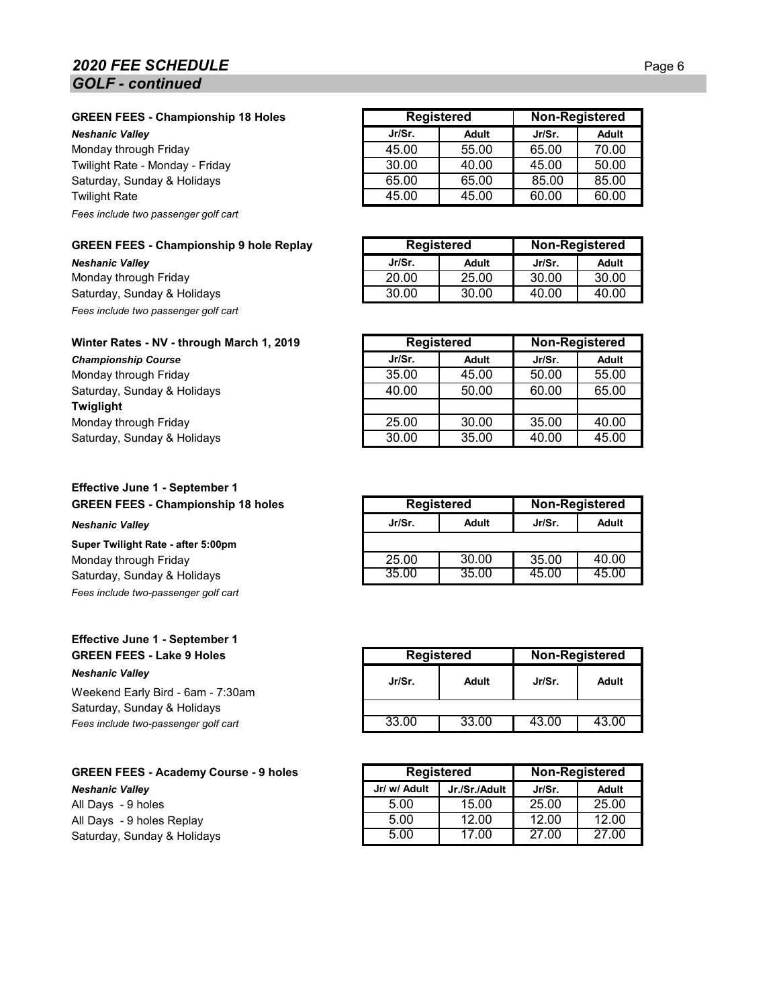## **2020 FEE SCHEDULE** Page 6 *GOLF - continued*

#### **GREEN FEES - Championship 18 Holes**

**Neshanic Valley** 

Monday through Friday Twilight Rate - Monday - Friday Saturday, Sunday & Holidays. **Twilight Rate** *Fees include two passenger golf cart*

#### **GREEN FEES - Championship 9 hole Replay**

**Neshanic Valley** Monday through Friday Saturday, Sunday & Holidays *Fees include two passenger golf cart*

#### **Winter Rates - NV - through March 1, 2019**

 $Championship Course$ Monday through Friday Saturday, Sunday & Holidays **Twiglight** Monday through Friday Saturday, Sunday & Holidays.

#### **Effective June 1 - September 1 GREEN FEES - Championship 18 holes**

#### $N$ eshanic Valley

**Super Twilight Rate - after 5:00pm** Monday through Friday Saturday, Sunday & Holidays. *Fees include two-passenger golf cart*

#### **Effective June 1 - September 1 GREEN FEES - Lake 9 Holes** *Neshanic Valley*

Weekend Early Bird - 6am - 7:30am Saturday, Sunday & Holidays Fees include two-passenger golf cart

# **GREEN FEES - Academy Course - 9 holes**

 $N$ eshanic Valley All Days - 9 holes All Days - 9 holes Replay Saturday, Sunday & Holidays

| <b>Registered</b> |              | <b>Non-Registered</b> |              |
|-------------------|--------------|-----------------------|--------------|
| Jr/Sr.            | <b>Adult</b> | Jr/Sr.                | <b>Adult</b> |
| 45.00             | 55.00        | 65.00                 | 70.00        |
| 30.00             | 40.00        | 45.00                 | 50.00        |
| 65.00             | 65.00        | 85.00                 | 85.00        |
| 45.00             | 45.00        | 60.00                 | 60.00        |

| <b>Registered</b> |       |        | Non-Registered |
|-------------------|-------|--------|----------------|
| Jr/Sr.            | Adult | Jr/Sr. | Adult          |
| 20.00             | 25.00 | 30.00  | 30.00          |
| 30.00             | 30.00 | 4በ በበ  | 4በ በበ          |

| <b>Registered</b> |       |        | <b>Non-Registered</b> |
|-------------------|-------|--------|-----------------------|
| Jr/Sr.            | Adult | Jr/Sr. | <b>Adult</b>          |
| 35.00             | 45.00 | 50.00  | 55.00                 |
| 40.00             | 50.00 | 60.00  | 65.00                 |
|                   |       |        |                       |
| 25.00             | 30.00 | 35.00  | 40.00                 |
| 30.00             | 35.00 | 40.00  | 45.00                 |

| <b>Registered</b> |       | <b>Non-Registered</b> |       |
|-------------------|-------|-----------------------|-------|
| Jr/Sr.            | Adult | Jr/Sr.                | Adult |
|                   |       |                       |       |
| 25.00             | 30.00 | 35.00                 | 40.00 |
| 35.00             | 35.00 | 45.00                 | 45.00 |

| <b>Registered</b> |       | <b>Non-Registered</b> |       |
|-------------------|-------|-----------------------|-------|
| Jr/Sr.            | Adult | Jr/Sr.                | Adult |
|                   |       |                       |       |
| 33.00             | 33.00 | 43.00                 | 43.00 |

| <b>Registered</b> |               |        | <b>Non-Registered</b> |
|-------------------|---------------|--------|-----------------------|
| Jr/ w/ Adult      | Jr./Sr./Adult | Jr/Sr. | Adult                 |
| 5.00              | 15.00         | 25.00  | 25.00                 |
| 5.00              | 12.00         | 12.00  | 12.00                 |
| 5.00              | 17.00         | 27.00  | 27.00                 |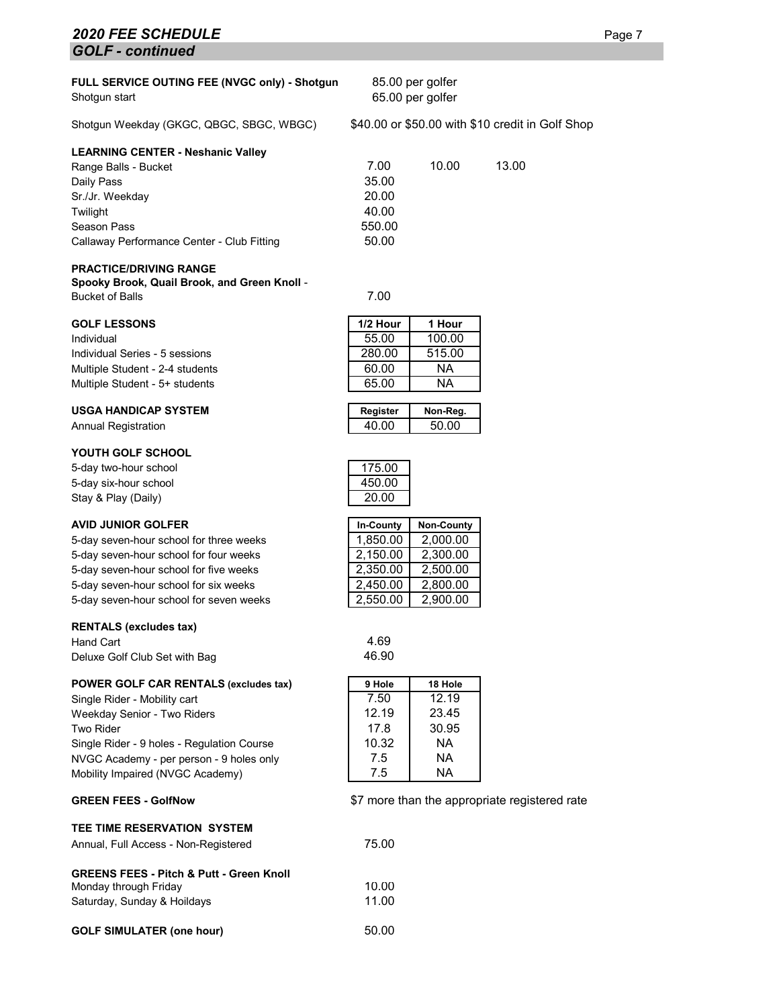### **2020 FEE SCHEDULE** Page 7 *GOLF - continued*

| FULL SERVICE OUTING FEE (NVGC only) - Shotgun |  |
|-----------------------------------------------|--|
| Shotgun start                                 |  |

Shotgun Weekday (GKGC, QBGC, SBGC, WBGC) \$40.00 or \$50.00 with \$10 credit in Golf Shop

| <b>LEARNING CENTER - Neshanic Valley</b> |  |
|------------------------------------------|--|
|------------------------------------------|--|

| Range Balls - Bucket                       | 7.00   | 10.00 | 13.00 |
|--------------------------------------------|--------|-------|-------|
| Daily Pass                                 | 35.00  |       |       |
| Sr./Jr. Weekday                            | 20.00  |       |       |
| Twilight                                   | 40.00  |       |       |
| Season Pass                                | 550.00 |       |       |
| Callaway Performance Center - Club Fitting | 50.00  |       |       |

#### **PRACTICE/DRIVING RANGE**

**Spooky Brook, Quail Brook, and Green Knoll** - Bucket of Balls 7.00

#### **GOLF LESSONS**

Individual 55.00 100.00 Individual Series - 5 sessions Multiple Student - 2-4 students Multiple Student - 5+ students

#### **USGA HANDICAP SYSTEM Register Non-Reg.**

**Annual Registration** 

#### **YOUTH GOLF SCHOOL**

5-day two-hour school 5-day six-hour school Stay & Play (Daily)

#### **AVID JUNIOR GOLFER In-County Non-County**

5-day seven-hour school for three weeks 5-day seven-hour school for four weeks 5-day seven-hour school for five weeks 5-day seven-hour school for six weeks 5-day seven-hour school for seven weeks

#### **RENTALS (excludes tax)**

Hand Cart 1.69<br>Deluxe Golf Club Set with Bag 1.69 (1998) 1999 Deluxe Golf Club Set with Bag

| POWER GOLF CAR RENTALS (excludes tax) | 9 Hole | 18 Hole |
|---------------------------------------|--------|---------|
|---------------------------------------|--------|---------|

Single Rider - Mobility cart Weekday Senior - Two Riders Two Rider 17.8 30.95 Single Rider - 9 holes - Regulation Course NVGC Academy - per person - 9 holes only Mobility Impaired (NVGC Academy)

#### **GREEN FEES - GolfNow**

#### **TEE TIME RESERVATION SYSTEM**

Annual, Full Access - Non-Registered 75.00

| <b>GREENS FEES - Pitch &amp; Putt - Green Knoll</b> |       |
|-----------------------------------------------------|-------|
| Monday through Friday                               | 10.00 |
| Saturday, Sunday & Hoildays                         | 11.00 |
|                                                     |       |

| <b>GOLF SIMULATER (one hour)</b> | 50.00 |
|----------------------------------|-------|
|----------------------------------|-------|

| 1 Hour |
|--------|
| 100.00 |
| 515.00 |
| ΝA     |
| ΝA     |
|        |

85.00 per golfer 65.00 per golfer

| <b>Von-Reg.</b> | Reaister |
|-----------------|----------|
| 50.00           | 4በ በበ    |
|                 |          |

| 175.00 |  |
|--------|--|
| 450.00 |  |
| 20.00  |  |

| <b>In-County</b> | <b>Non-County</b> |
|------------------|-------------------|
| 1,850.00         | 2,000.00          |
| 2,150.00         | 2,300.00          |
| 2,350.00         | 2,500.00          |
| 2,450.00         | 2,800.00          |
| 2,550.00         | 2,900.00          |

| 18 Hole |
|---------|
| 12.19   |
| 23.45   |
| 30.95   |
| NA      |
| NA      |
| ΝA      |
|         |

\$7 more than the appropriate registered rate

| Non-Reg. |  |
|----------|--|
| 50.00    |  |
|          |  |
|          |  |
|          |  |

|        | 450.00    |
|--------|-----------|
|        | 20.00     |
|        |           |
| Non-Co | In-County |
| ' UUU  | -850.00   |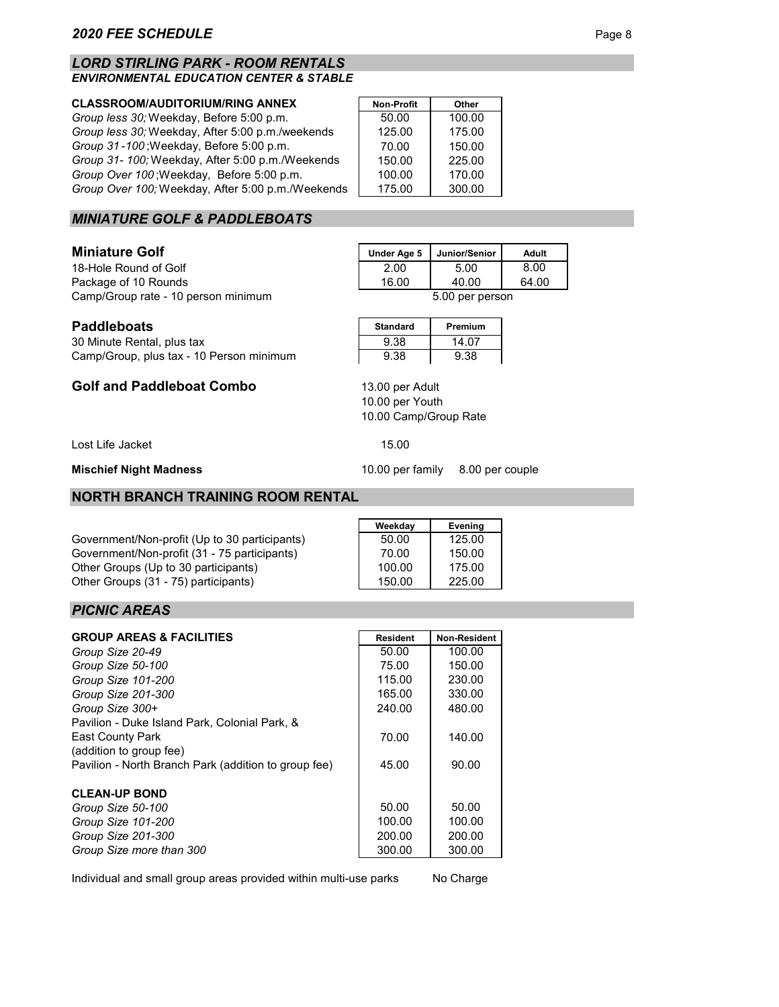#### *LORD STIRLING PARK - ROOM RENTALS ENVIRONMENTAL EDUCATION CENTER & STABLE*

#### **CLASSROOM/AUDITORIUM/RING ANNEX**

*Group less 30;* Weekday, Before 5:00 p.m. *Group less 30;* Weekday, After 5:00 p.m./weekends *Group 31-100*; Weekday, Before 5:00 p.m. *Group 31- 100;* Weekday, After 5:00 p.m./Weekends *Group Over 100* ; Weekday, Before 5:00 p.m. *Group Over 100;* Weekday, After 5:00 p.m./Weekends

| <b>Non-Profit</b> | Other  |
|-------------------|--------|
| 50.00             | 100.00 |
| 125.00            | 175.00 |
| 70.00             | 150.00 |
| 150.00            | 225.00 |
| 100.00            | 170.00 |
| 175.00            | 300.00 |

## *MINIATURE GOLF & PADDLEBOATS*

#### **Miniature Golf**

**Paddleboats** 

18-Hole Round of Golf Package of 10 Rounds Camp/Group rate - 10 person minimum 5.00 per person

Camp/Group, plus tax - 10 Person minimum

**Golf and Paddleboat Combo**

| Under Age 5 | Junior/Senior | Adult |
|-------------|---------------|-------|
| 2.00        | 5.00          | 8.00  |
| 16.00       | 40.00         | 64.00 |
| por porcon  |               |       |

| <b>Standard</b> | Premium |
|-----------------|---------|
| 9.38            | 14.07   |
| 9.38            | 9.38    |

10.00 per Youth 13.00 per Adult

10.00 Camp/Group Rate

Lost Life Jacket 15.00

**Mischief Night Madness**

30 Minute Rental, plus tax

#### **NORTH BRANCH TRAINING ROOM RENTAL**

Government/Non-profit (Up to 30 participants) Government/Non-profit (31 - 75 participants) Other Groups (Up to 30 participants) Other Groups (31 - 75) participants)

| Weekday | Evening |
|---------|---------|
| 50.00   | 125.00  |
| 70.00   | 150.00  |
| 100.00  | 175.00  |
| 150.00  | 225.00  |

#### *PICNIC AREAS*

| <b>GROUP AREAS &amp; FACILITIES</b>                  | <b>Resident</b> | <b>Non-Resident</b> |
|------------------------------------------------------|-----------------|---------------------|
| Group Size 20-49                                     | 50.00           | 100.00              |
| Group Size 50-100                                    | 75.00           | 150.00              |
| Group Size 101-200                                   | 115.00          | 230.00              |
| Group Size 201-300                                   | 165.00          | 330.00              |
| Group Size 300+                                      | 240.00          | 480.00              |
| Pavilion - Duke Island Park, Colonial Park, &        |                 |                     |
| <b>East County Park</b>                              | 70.00           | 140.00              |
| (addition to group fee)                              |                 |                     |
| Pavilion - North Branch Park (addition to group fee) | 45.00           | 90.00               |
|                                                      |                 |                     |
| <b>CLEAN-UP BOND</b>                                 |                 |                     |
| Group Size 50-100                                    | 50.00           | 50.00               |
| Group Size 101-200                                   | 100.00          | 100.00              |
| Group Size 201-300                                   | 200.00          | 200.00              |
| Group Size more than 300                             | 300.00          | 300.00              |

Individual and small group areas provided within multi-use parks

No Charge

10.00 per family 8.00 per couple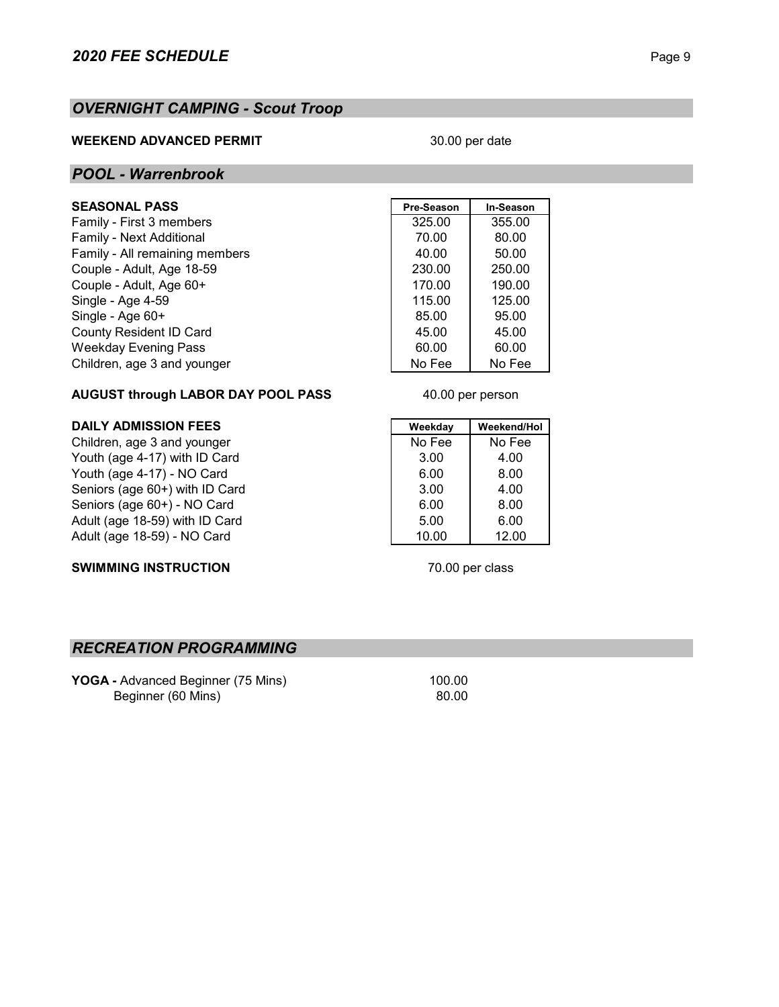## *OVERNIGHT CAMPING - Scout Troop*

#### **WEEKEND ADVANCED PERMIT**

#### 30.00 per date

### *POOL - Warrenbrook*

## $SEASONAL$  **PASS**

Family - First 3 members Family - Next Additional Family - All remaining members Couple - Adult, Age 18-59. Couple - Adult, Age 60+ Single - Age 4-59 Single - Age 60+ County Resident ID Card Weekday Evening Pass Children, age 3 and younger

| Pre-Season | In-Season |
|------------|-----------|
| 325.00     | 355.00    |
| 70.00      | 80.00     |
| 40.00      | 50.00     |
| 230.00     | 250.00    |
| 170.00     | 190.00    |
| 115.00     | 125.00    |
| 85.00      | 95.00     |
| 45.00      | 45.00     |
| 60.00      | 60.00     |
| No Fee     | No Fee    |

40.00 per person

## **AUGUST through LABOR DAY POOL PASS**

### **DAILY ADMISSION FEES Weekday Weekday Weekend/Hol**

Children, age 3 and younger No Fee No Fee No Fee No Fee No Fee No Fee No Fee No Fee No Fee No Fee No Fee No Fee No Fee No Fee No Fee No Fee No Fee No Fee No Fee No Fee No Fee No Fee No Fee No Fee No Fee No Fee No Fee No Fe Youth (age 4-17) with ID Card Youth (age 4-17) - NO Card  $\begin{array}{|c|c|c|c|c|c|c|c|c|} \hline \end{array}$  6.00 8.00 Seniors (age 60+) with ID Card 3.00 4.00 Seniors (age 60+) - NO Card 6.00 8.00 Adult (age 18-59) with ID Card 5.00 6.00 Adult (age 18-59) - NO Card 10.00 12.00

### **SWIMMING INSTRUCTION**

70.00 per class

## *RECREATION PROGRAMMING*

**YOGA** - Advanced Beginner (75 Mins) 100.00 Beginner (60 Mins) 80.00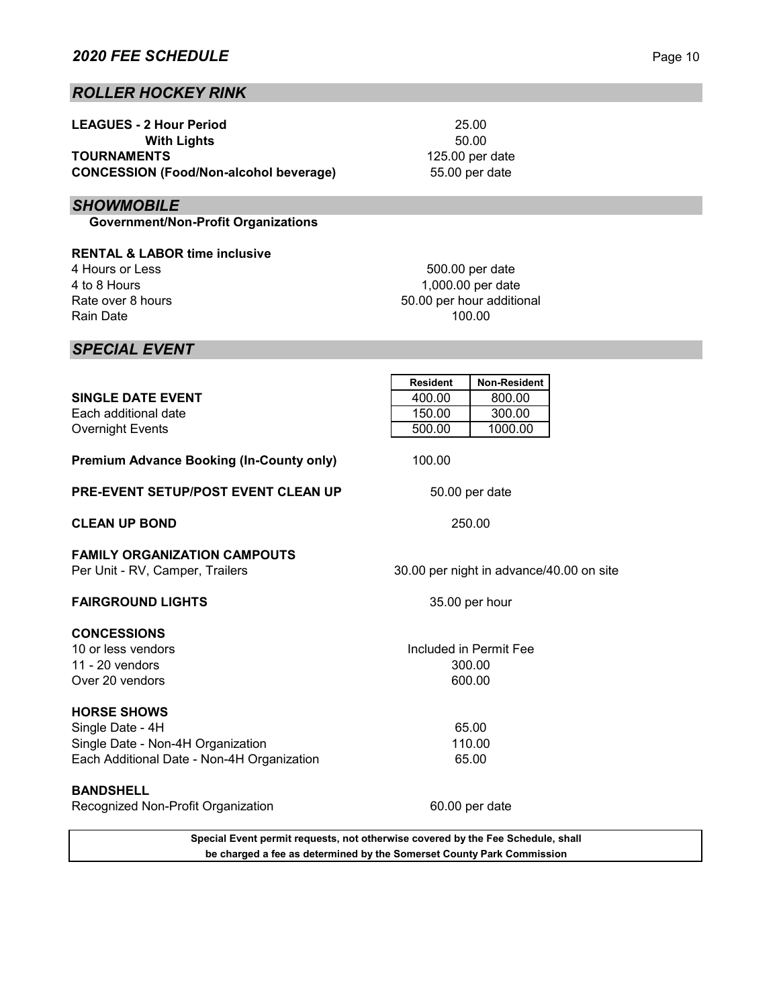## *ROLLER HOCKEY RINK*

| <b>LEAGUES - 2 Hour Period</b>                |  |  |
|-----------------------------------------------|--|--|
| <b>With Lights</b>                            |  |  |
| <b>TOURNAMENTS</b>                            |  |  |
| <b>CONCESSION (Food/Non-alcohol beverage)</b> |  |  |

## *SHOWMOBILE*

 **Government/Non-Profit Organizations**

**RENTAL & LABOR time inclusive** 4 Hours or Less 4 to 8 Hours Rate over 8 hours Rain Date

1,000.00 per date 500.00 per date 50.00 per hour additional 100.00

50.00

25.00

125.00 per date

55.00 per date

## *SPECIAL EVENT*

|                                                                                 | <b>Resident</b> | <b>Non-Resident</b>                      |  |
|---------------------------------------------------------------------------------|-----------------|------------------------------------------|--|
| <b>SINGLE DATE EVENT</b>                                                        | 400.00          | 800.00                                   |  |
| Each additional date                                                            | 150.00          | 300.00                                   |  |
| <b>Overnight Events</b>                                                         | 500.00          | 1000.00                                  |  |
| <b>Premium Advance Booking (In-County only)</b>                                 | 100.00          |                                          |  |
| <b>PRE-EVENT SETUP/POST EVENT CLEAN UP</b>                                      |                 | 50.00 per date                           |  |
| <b>CLEAN UP BOND</b>                                                            |                 | 250.00                                   |  |
| <b>FAMILY ORGANIZATION CAMPOUTS</b><br>Per Unit - RV, Camper, Trailers          |                 | 30.00 per night in advance/40.00 on site |  |
| <b>FAIRGROUND LIGHTS</b>                                                        |                 | 35.00 per hour                           |  |
| <b>CONCESSIONS</b>                                                              |                 |                                          |  |
| 10 or less vendors                                                              |                 | Included in Permit Fee                   |  |
| 11 - $20$ vendors                                                               |                 | 300.00                                   |  |
| Over 20 vendors                                                                 |                 | 600.00                                   |  |
| <b>HORSE SHOWS</b>                                                              |                 |                                          |  |
| Single Date - 4H                                                                |                 | 65.00                                    |  |
| Single Date - Non-4H Organization                                               |                 | 110.00                                   |  |
| Each Additional Date - Non-4H Organization                                      |                 | 65.00                                    |  |
| <b>BANDSHELL</b>                                                                |                 |                                          |  |
| Recognized Non-Profit Organization                                              |                 | 60.00 per date                           |  |
| Special Event permit requests, not otherwise covered by the Fee Schedule, shall |                 |                                          |  |

**be charged a fee as determined by the Somerset County Park Commission**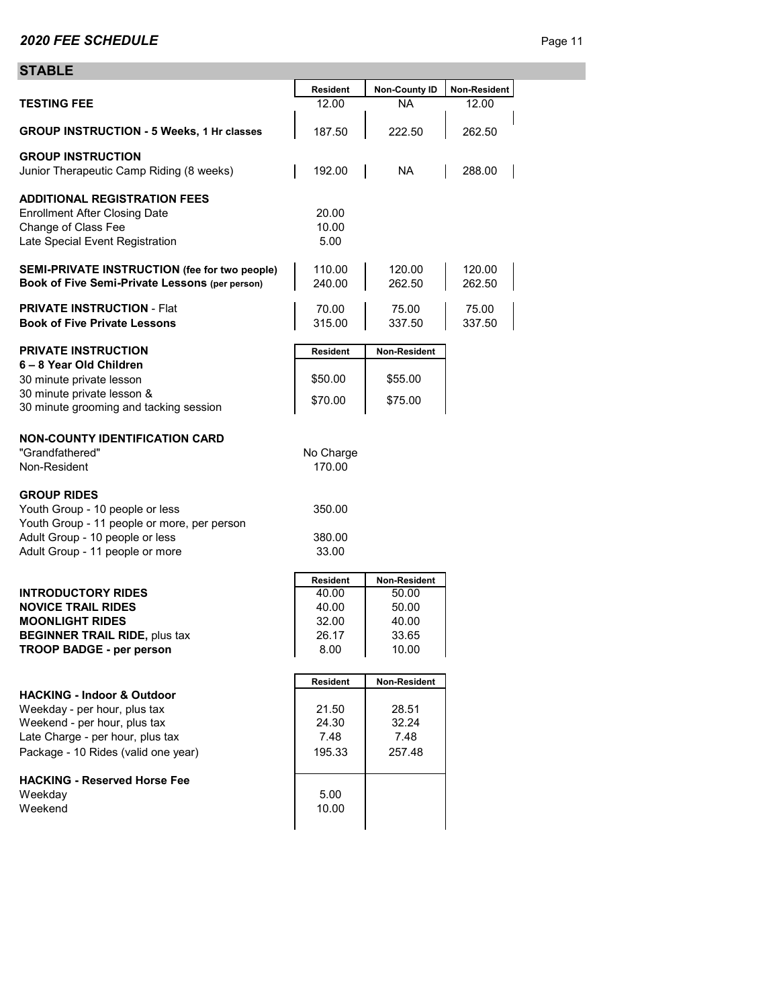### **STABLE**

| <b>JIADLE</b>                                                                                                                           |                          |                       |                  |
|-----------------------------------------------------------------------------------------------------------------------------------------|--------------------------|-----------------------|------------------|
|                                                                                                                                         | <b>Resident</b>          | <b>Non-County ID</b>  | Non-Resident     |
| <b>TESTING FEE</b>                                                                                                                      | 12.00                    | <b>NA</b>             | 12.00            |
| <b>GROUP INSTRUCTION - 5 Weeks, 1 Hr classes</b>                                                                                        | 187.50                   | 222.50                | 262.50           |
| <b>GROUP INSTRUCTION</b><br>Junior Therapeutic Camp Riding (8 weeks)                                                                    | 192.00                   | NA.                   | 288.00           |
| <b>ADDITIONAL REGISTRATION FEES</b><br><b>Enrollment After Closing Date</b><br>Change of Class Fee<br>Late Special Event Registration   | 20.00<br>10.00<br>5.00   |                       |                  |
| SEMI-PRIVATE INSTRUCTION (fee for two people)<br>Book of Five Semi-Private Lessons (per person)                                         | 110.00<br>240.00         | 120.00<br>262.50      | 120.00<br>262.50 |
| <b>PRIVATE INSTRUCTION - Flat</b><br><b>Book of Five Private Lessons</b>                                                                | 70.00<br>315.00          | 75.00<br>337.50       | 75.00<br>337.50  |
| <b>PRIVATE INSTRUCTION</b>                                                                                                              | <b>Resident</b>          | Non-Resident          |                  |
| 6-8 Year Old Children<br>30 minute private lesson                                                                                       | \$50.00                  | \$55.00               |                  |
| 30 minute private lesson &<br>30 minute grooming and tacking session                                                                    | \$70.00                  | \$75.00               |                  |
| <b>NON-COUNTY IDENTIFICATION CARD</b><br>"Grandfathered"<br>Non-Resident                                                                | No Charge<br>170.00      |                       |                  |
| <b>GROUP RIDES</b><br>Youth Group - 10 people or less<br>Youth Group - 11 people or more, per person<br>Adult Group - 10 people or less | 350.00<br>380.00         |                       |                  |
| Adult Group - 11 people or more                                                                                                         | 33.00                    |                       |                  |
|                                                                                                                                         |                          |                       |                  |
| <b>INTRODUCTORY RIDES</b>                                                                                                               | <b>Resident</b><br>40.00 | Non-Resident<br>50.00 |                  |
| <b>NOVICE TRAIL RIDES</b>                                                                                                               | 40.00                    | 50.00                 |                  |
| <b>MOONLIGHT RIDES</b>                                                                                                                  | 32.00                    | 40.00                 |                  |
| <b>BEGINNER TRAIL RIDE, plus tax</b>                                                                                                    | 26.17                    | 33.65                 |                  |
| <b>TROOP BADGE - per person</b>                                                                                                         | 8.00                     | 10.00                 |                  |
|                                                                                                                                         |                          |                       |                  |
|                                                                                                                                         | <b>Resident</b>          | Non-Resident          |                  |
| <b>HACKING - Indoor &amp; Outdoor</b>                                                                                                   |                          |                       |                  |
| Weekday - per hour, plus tax<br>Weekend - per hour, plus tax                                                                            | 21.50<br>24.30           | 28.51<br>32.24        |                  |
| Late Charge - per hour, plus tax                                                                                                        | 7.48                     | 7.48                  |                  |
| Package - 10 Rides (valid one year)                                                                                                     | 195.33                   | 257.48                |                  |
| <b>HACKING - Reserved Horse Fee</b>                                                                                                     |                          |                       |                  |
| Weekday                                                                                                                                 | 5.00                     |                       |                  |
| Weekend                                                                                                                                 | 10.00                    |                       |                  |
|                                                                                                                                         |                          |                       |                  |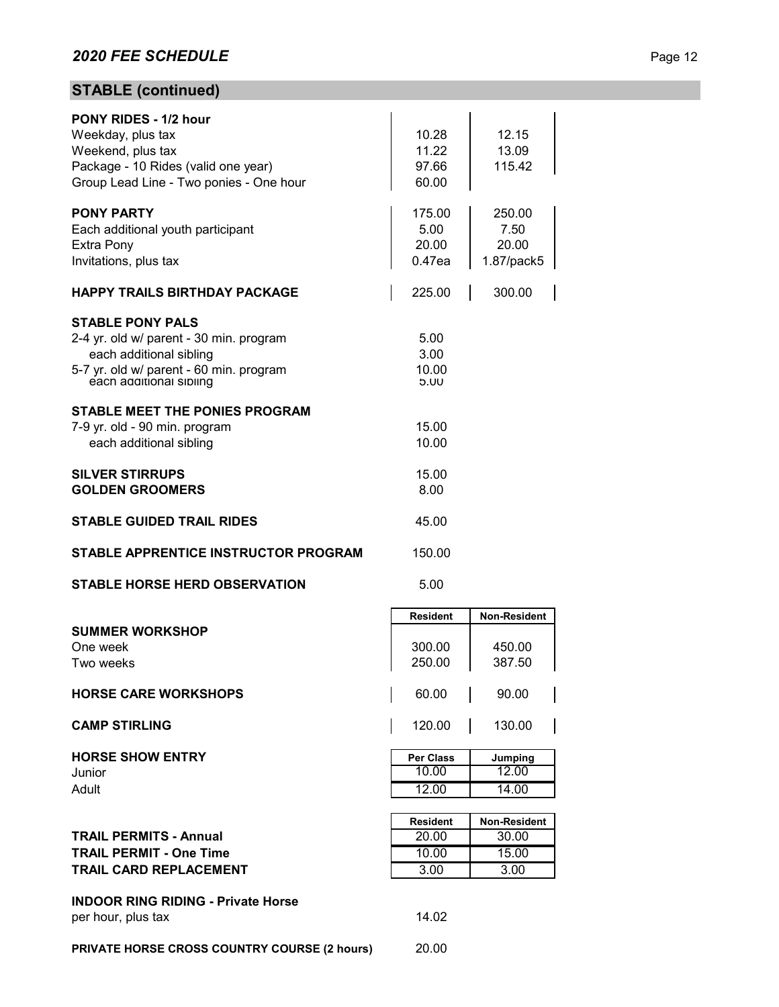# **STABLE (continued)**

| <b>PONY RIDES - 1/2 hour</b><br>Weekday, plus tax<br>Weekend, plus tax<br>Package - 10 Rides (valid one year)<br>Group Lead Line - Two ponies - One hour            | 10.28<br>11.22<br>97.66<br>60.00  | 12.15<br>13.09<br>115.42              |
|---------------------------------------------------------------------------------------------------------------------------------------------------------------------|-----------------------------------|---------------------------------------|
| <b>PONY PARTY</b><br>Each additional youth participant<br><b>Extra Pony</b><br>Invitations, plus tax                                                                | 175.00<br>5.00<br>20.00<br>0.47ea | 250.00<br>7.50<br>20.00<br>1.87/pack5 |
| <b>HAPPY TRAILS BIRTHDAY PACKAGE</b>                                                                                                                                | 225.00                            | 300.00                                |
| <b>STABLE PONY PALS</b><br>2-4 yr. old w/ parent - 30 min. program<br>each additional sibling<br>5-7 yr. old w/ parent - 60 min. program<br>each additional sibling | 5.00<br>3.00<br>10.00<br>5.00     |                                       |
| <b>STABLE MEET THE PONIES PROGRAM</b><br>7-9 yr. old - 90 min. program<br>each additional sibling                                                                   | 15.00<br>10.00                    |                                       |
| <b>SILVER STIRRUPS</b><br><b>GOLDEN GROOMERS</b>                                                                                                                    | 15.00<br>8.00                     |                                       |
| <b>STABLE GUIDED TRAIL RIDES</b>                                                                                                                                    | 45.00                             |                                       |
| <b>STABLE APPRENTICE INSTRUCTOR PROGRAM</b>                                                                                                                         | 150.00                            |                                       |
| <b>STABLE HORSE HERD OBSERVATION</b>                                                                                                                                | 5.00                              |                                       |
|                                                                                                                                                                     | <b>Resident</b>                   | <b>Non-Resident</b>                   |
| <b>SUMMER WORKSHOP</b><br>One week<br>Two weeks                                                                                                                     | 300.00<br>250.00                  | 450.00<br>387.50                      |
| <b>HORSE CARE WORKSHOPS</b>                                                                                                                                         | 60.00                             | 90.00                                 |
| <b>CAMP STIRLING</b>                                                                                                                                                | 120.00                            | 130.00                                |
| <b>HORSE SHOW ENTRY</b>                                                                                                                                             | <b>Per Class</b>                  | Jumping                               |
| Junior<br>Adult                                                                                                                                                     | 10.00<br>12.00                    | 12.00<br>14.00                        |
|                                                                                                                                                                     |                                   |                                       |
|                                                                                                                                                                     | <b>Resident</b>                   | Non-Resident                          |
| <b>TRAIL PERMITS - Annual</b>                                                                                                                                       | 20.00                             | 30.00                                 |
| <b>TRAIL PERMIT - One Time</b>                                                                                                                                      | 10.00                             | 15.00                                 |

**PRIVATE HORSE CROSS COUNTRY COURSE (2 hours)** 20.00

per hour, plus tax 14.02

**INDOOR RING RIDING - Private Horse**

**TRAIL CARD REPLACEMENT** 3.00 3.00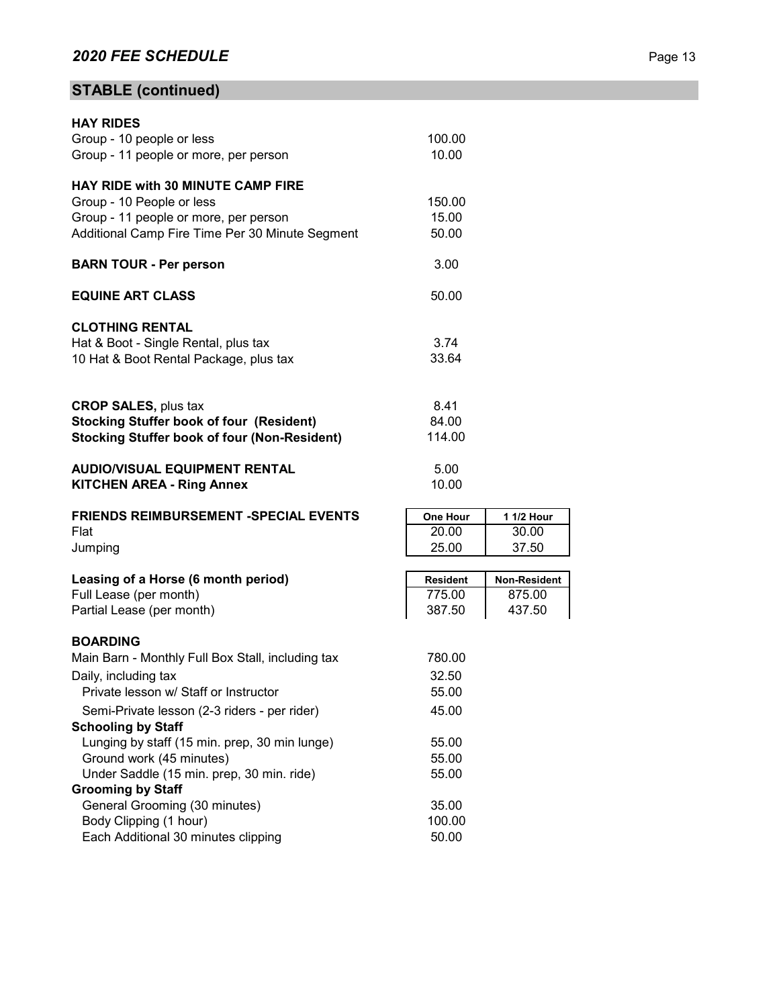# **STABLE (continued)**

| <b>HAY RIDES</b>                                        |                 |              |
|---------------------------------------------------------|-----------------|--------------|
| Group - 10 people or less                               | 100.00          |              |
| Group - 11 people or more, per person                   | 10.00           |              |
| HAY RIDE with 30 MINUTE CAMP FIRE                       |                 |              |
| Group - 10 People or less                               | 150.00          |              |
| Group - 11 people or more, per person                   | 15.00           |              |
| Additional Camp Fire Time Per 30 Minute Segment         | 50.00           |              |
| <b>BARN TOUR - Per person</b>                           | 3.00            |              |
| <b>EQUINE ART CLASS</b>                                 | 50.00           |              |
| <b>CLOTHING RENTAL</b>                                  |                 |              |
| Hat & Boot - Single Rental, plus tax                    | 3.74            |              |
| 10 Hat & Boot Rental Package, plus tax                  | 33.64           |              |
| <b>CROP SALES, plus tax</b>                             | 8.41            |              |
| <b>Stocking Stuffer book of four (Resident)</b>         | 84.00           |              |
| <b>Stocking Stuffer book of four (Non-Resident)</b>     | 114.00          |              |
|                                                         |                 |              |
| <b>AUDIO/VISUAL EQUIPMENT RENTAL</b>                    | 5.00            |              |
| <b>KITCHEN AREA - Ring Annex</b>                        | 10.00           |              |
| <b>FRIENDS REIMBURSEMENT -SPECIAL EVENTS</b>            | One Hour        | 1 1/2 Hour   |
| Flat                                                    | 20.00           | 30.00        |
| Jumping                                                 | 25.00           | 37.50        |
| Leasing of a Horse (6 month period)                     | <b>Resident</b> | Non-Resident |
| Full Lease (per month)                                  | 775.00          | 875.00       |
| Partial Lease (per month)                               | 387.50          | 437.50       |
| <b>BOARDING</b>                                         |                 |              |
| Main Barn - Monthly Full Box Stall, including tax       | 780.00          |              |
| Daily, including tax                                    | 32.50           |              |
| Private lesson w/ Staff or Instructor                   | 55.00           |              |
| Semi-Private lesson (2-3 riders - per rider)            | 45.00           |              |
| <b>Schooling by Staff</b>                               |                 |              |
| Lunging by staff (15 min. prep, 30 min lunge)           | 55.00           |              |
| Ground work (45 minutes)                                | 55.00           |              |
| Under Saddle (15 min. prep, 30 min. ride)               | 55.00           |              |
| <b>Grooming by Staff</b>                                |                 |              |
| General Grooming (30 minutes)<br>Body Clipping (1 hour) | 35.00<br>100.00 |              |
| Each Additional 30 minutes clipping                     | 50.00           |              |
|                                                         |                 |              |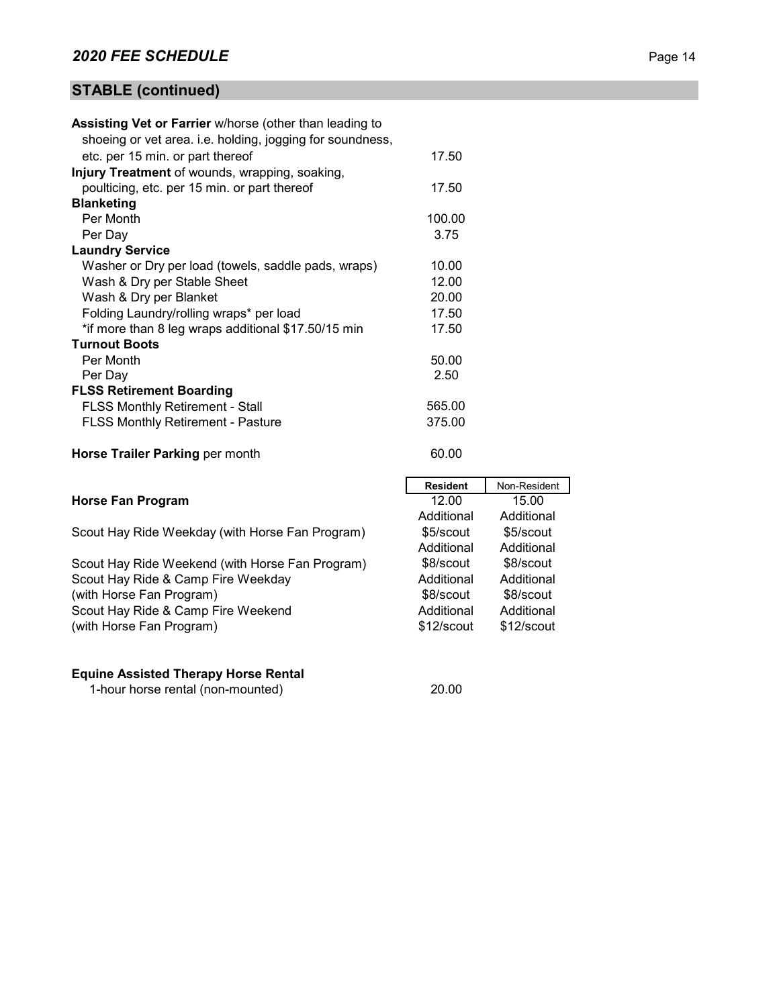# **STABLE (continued)**

| <b>Assisting Vet or Farrier w/horse (other than leading to</b> |                 |              |
|----------------------------------------------------------------|-----------------|--------------|
| shoeing or vet area. i.e. holding, jogging for soundness,      |                 |              |
| etc. per 15 min. or part thereof                               | 17.50           |              |
| Injury Treatment of wounds, wrapping, soaking,                 |                 |              |
| poulticing, etc. per 15 min. or part thereof                   | 17.50           |              |
| <b>Blanketing</b>                                              |                 |              |
| Per Month                                                      | 100.00          |              |
| Per Day                                                        | 3.75            |              |
| <b>Laundry Service</b>                                         |                 |              |
| Washer or Dry per load (towels, saddle pads, wraps)            | 10.00           |              |
| Wash & Dry per Stable Sheet                                    | 12.00           |              |
| Wash & Dry per Blanket                                         | 20.00           |              |
| Folding Laundry/rolling wraps* per load                        | 17.50           |              |
| *if more than 8 leg wraps additional \$17.50/15 min            | 17.50           |              |
| <b>Turnout Boots</b>                                           |                 |              |
| Per Month                                                      | 50.00           |              |
| Per Day                                                        | 2.50            |              |
| <b>FLSS Retirement Boarding</b>                                |                 |              |
| <b>FLSS Monthly Retirement - Stall</b>                         | 565.00          |              |
| <b>FLSS Monthly Retirement - Pasture</b>                       | 375.00          |              |
| Horse Trailer Parking per month                                | 60.00           |              |
|                                                                |                 |              |
|                                                                | <b>Resident</b> | Non-Resident |
| <b>Horse Fan Program</b>                                       | 12.00           | 15.00        |
|                                                                | Additional      | Additional   |
| Scout Hay Ride Weekday (with Horse Fan Program)                | \$5/scout       | \$5/scout    |
|                                                                | Additional      | Additional   |
| Scout Hay Ride Weekend (with Horse Fan Program)                | \$8/scout       | \$8/scout    |
| Scout Hay Ride & Camp Fire Weekday                             | Additional      | Additional   |
| (with Horse Fan Program)                                       | \$8/scout       | \$8/scout    |
| Scout Hay Ride & Camp Fire Weekend                             | Additional      | Additional   |

# (with Horse Fan Program)

## **Equine Assisted Therapy Horse Rental**

1-hour horse rental (non-mounted) 20.00

\$12/scout

\$12/scout